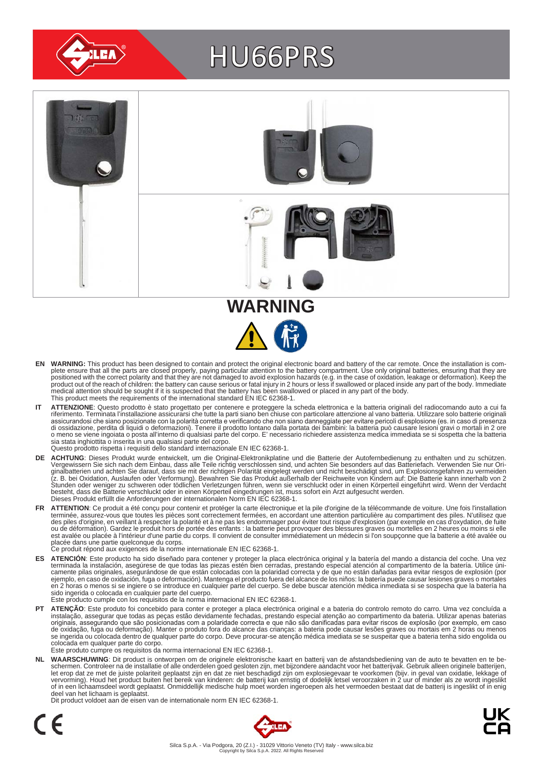

# HU66PRS



- EN WARNING: This product has been designed to contain and protect the original electronic board and battery of the car remote. Once the installation is com-<br>plete ensure that all the parts are closed properly, paying parti positioned with the correct polarity and that they are not damaged to avoid explosion hazards (e.g. in the case of oxidation, leakage or deformation). Keep the<br>product out of the reach of children: the battery can cause se medical attention should be sought if it is suspected that the battery has been swallowed or placed in any part of the body. This product meets the requirements of the international standard EN IEC 62368-1.
- IT ATTENZIONE: Questo prodotto è stato progettato per contenere e proteggere la scheda elettronica e la batteria originali del radiocomando auto a cui fa<br>riferimento. Terminata l'installazione assicurarsi che tutte la part assicurandosi che siano posizionate con la polarità corretta e verificando che non siano danneggiate per evitare pericoli di esplosione (es. in caso di presenza<br>di ossidazione, perdita di liquidi o deformazioni). Tenere il sia stata inghiottita o inserita in una qualsiasi parte del corpo. Questo prodotto rispetta i requisiti dello standard internazionale EN IEC 62368-1.
- **DE ACHTUNG**: Dieses Produkt wurde entwickelt, um die Original-Elektronikplatine und die Batterie der Autofernbedienung zu enthalten und zu schützen.<br>Vergewissern Sie sich nach dem Einbau, dass alle Teile richtig verschlos besteht, dass die Batterie verschluckt oder in einen Körperteil eingedrungen ist, muss sofort ein Arzt aufgesucht werden.<br>Dieses Produkt erfüllt die Anforderungen der internationalen Norm EN IEC 62368-1.
- FR ATTENTION: Ce produit a été conçu pour contenir et protéger la carte électronique et la pile d'origine de la télécommande de voiture. Une fois l'installation terminée, assurez-vous que toutes les pièces sont correctement fermées, en accordant une attention particulière au compartiment des piles. N'utilisez que<br>des piles d'origine, en veillant à respecter la polarité et à ne pas est avalée ou placée à l'intérieur d'une partie du corps. Il convient de consulter immédiatement un médecin si l'on soupçonne que la batterie a été avalée ou<br>placée dans une partie quelconque du corps.<br>Ce produit répond au
	-
- ES ATENCION: Este producto ha sido diseñado para contener y proteger la placa electrónica original y la batería del mando a distancia del coche. Una vez<br>-terminada la instalación, asegúrese de que todas las piezas estén bi camente pilas originales, asegurándose de que están colocadas con la polaridad correcta y de que no están dañadas para evitar riesgos de explosión (por<br>ejemplo, en caso de oxidación, fuga o deformación). Mantenga el produc sido ingerida o colocada en cualquier parte del cuerpo.
- Este producto cumple con los requisitos de la norma internacional EN IEC 62368-1.
- **PT ATENÇAO**: Este produto foi concebido para conter e proteger a placa electrónica original e a bateria do controlo remoto do carro. Uma vez concluída a instalação, assegurar que todas as peças estão devidamente fechadas, colocada em qualquer parte do corpo. Este produto cumpre os requisitos da norma internacional EN IEC 62368-1.

NL WAARSCHUWING: Dit product is ontworpen om de originele elektronische kaart en batterij van de afstandsbediening van de auto te bevatten en te be-<br>schermen. Controleer na de installatie of alle onderdelen goed gesloten z of in een lichaamsdeel wordt geplaatst. Onmiddellijk medische hulp moet worden ingeroepen als het vermoeden bestaat dat de batterij is ingeslikt of in enig deel van het lichaam is geplaatst.

Dit product voldoet aan de eisen van de internationale norm EN IEC 62368-1.